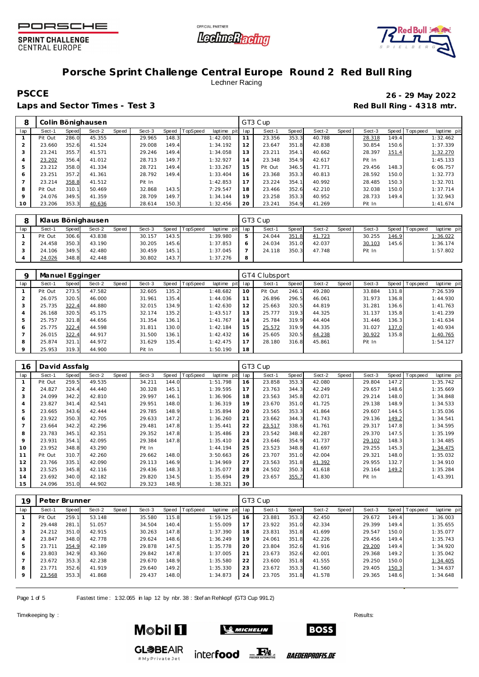





## **Porsche Sprint Challenge Central Europe Round 2 Red Bull Ring** Lechner Racing

## **PSCCE 26 - 29 May 2022**

Laps and Sector Times - Test 3 **Red Bull Ring - 4318 mtr. Red Bull Ring - 4318 mtr.** 

| 8               |         |       | Colin Bönighausen |       |        |       |          |             |     | GT3 Cup |       |        |       |        |       |                   |             |
|-----------------|---------|-------|-------------------|-------|--------|-------|----------|-------------|-----|---------|-------|--------|-------|--------|-------|-------------------|-------------|
| lap             | Sect-1  | Speed | Sect-2            | Speed | Sect-3 | Speed | TopSpeed | laptime pit | lap | Sect-1  | Speed | Sect-2 | Speed | Sect-3 |       | Speed   Tops peed | laptime pit |
| 1               | Pit Out | 286.0 | 45.355            |       | 29.965 | 148.3 |          | 1:42.001    | 11  | 23.356  | 353.3 | 40.788 |       | 28.318 | 149.4 |                   | 1:32.462    |
| 2               | 23.660  | 352.6 | 41.524            |       | 29.008 | 149.4 |          | 1:34.192    | 12  | 23.647  | 351.8 | 42.838 |       | 30.854 | 150.6 |                   | 1:37.339    |
| 3               | 23.241  | 355.7 | 41.571            |       | 29.246 | 149.4 |          | 1:34.058    | 13  | 23.211  | 354.1 | 40.662 |       | 28.397 | 151.4 |                   | 1:32.270    |
| 4               | 23.202  | 356.4 | 41.012            |       | 28.713 | 149.7 |          | 1:32.927    | 14  | 23.348  | 354.9 | 42.617 |       | Pit In |       |                   | 1:45.133    |
| 5               | 23.212  | 358.0 | 41.334            |       | 28.721 | 149.4 |          | 1:33.267    | 15  | Pit Out | 346.5 | 41.771 |       | 29.456 | 148.3 |                   | 6:06.757    |
| 6               | 23.251  | 357.2 | 41.361            |       | 28.792 | 149.4 |          | 1:33.404    | 16  | 23.368  | 353.3 | 40.813 |       | 28.592 | 150.0 |                   | 1:32.773    |
| $\overline{ }$  | 23.214  | 358.8 | 41.512            |       | Pit In |       |          | 1:42.853    | 17  | 23.224  | 354.1 | 40.992 |       | 28.485 | 150.3 |                   | 1:32.701    |
| 8               | Pit Out | 310.1 | 50.469            |       | 32.868 | 143.5 |          | 7:29.547    | 18  | 23.466  | 352.6 | 42.210 |       | 32.038 | 150.0 |                   | 1:37.714    |
| 9               | 24.076  | 349.5 | 41.359            |       | 28.709 | 149.7 |          | 1:34.144    | 19  | 23.258  | 353.3 | 40.952 |       | 28.733 | 149.4 |                   | 1:32.943    |
| 10 <sup>°</sup> | 23.206  | 353.3 | 40.636            |       | 28.614 | 150.3 |          | 1:32.456    | 20  | 23.241  | 354.9 | 41.269 |       | Pit In |       |                   | 1:41.674    |

|     |         |       | Klaus Bönighausen |       |        |       |                |             |     | GT3 Cup |       |        |       |        |       |                 |             |
|-----|---------|-------|-------------------|-------|--------|-------|----------------|-------------|-----|---------|-------|--------|-------|--------|-------|-----------------|-------------|
| lap | Sect-′  | Speed | Sect-2            | Speed | Sect-3 |       | Speed TopSpeed | laptime pit | lap | Sect-   | Speed | Sect-2 | Speed | Sect-3 |       | Speed Tops peed | laptime pit |
|     | Pit Out | 306.6 | 43.838            |       | 30.157 | 143.5 |                | 1:39.980    | 5   | 24.044  | 351.8 | 41.723 |       | 30.255 | 146.9 |                 | 1:36.022    |
|     | 24.458  | 350.3 | 43.190            |       | 30.205 | 145.6 |                | 1:37.853    | O   | 24.034  | 351.0 | 42.037 |       | 30.103 | 145.6 |                 | 1:36.174    |
|     | 24.106  | 349.5 | 42.480            |       | 30.459 | 145.1 |                | 1:37.045    |     | 24.118  | 350.3 | 47.748 |       | Pit In |       |                 | 1:57.802    |
|     | 24.026  | 348.8 | 42.448            |       | 30.802 | 143.7 |                | 1:37.276    | 8   |         |       |        |       |        |       |                 |             |

| Q   | Manuel Egginger |              |        |       |        |       |                 |             |     | GT4 Clubsport |       |        |       |        |       |                   |             |
|-----|-----------------|--------------|--------|-------|--------|-------|-----------------|-------------|-----|---------------|-------|--------|-------|--------|-------|-------------------|-------------|
| lap | Sect-1          | <b>Speed</b> | Sect-2 | Speed | Sect-3 | Speed | <b>TopSpeed</b> | laptime pit | lap | Sect-1        | Speed | Sect-2 | Speed | Sect-3 |       | Speed   Tops peed | laptime pit |
|     | Pit Out         | 273.5        | 47.582 |       | 32.605 | 135.2 |                 | 1:48.682    | 10  | Pit Out       | 246.1 | 49.280 |       | 33.884 | 131.8 |                   | 7:26.539    |
|     | 26.075          | 320.5        | 46.000 |       | 31.961 | 135.4 |                 | 1:44.036    | 11  | 26.896        | 296.5 | 46.061 |       | 31.973 | 136.8 |                   | 1:44.930    |
|     | 25.735          | 322.4        | 44.880 |       | 32.015 | 134.9 |                 | 1:42.630    | 12  | 25.663        | 320.5 | 44.819 |       | 31.281 | 136.6 |                   | 1:41.763    |
|     | 26.168          | 320.5        | 45.175 |       | 32.174 | 135.2 |                 | 1:43.517    | 13  | 25.777        | 319.3 | 44.325 |       | 31.137 | 135.8 |                   | 1:41.239    |
|     | 25.757          | 321.8        | 44.656 |       | 31.354 | 136.1 |                 | 1:41.767    | 14  | 25.784        | 319.9 | 44.404 |       | 31.446 | 136.3 |                   | 1:41.634    |
| 6   | 25.775          | 322.4        | 44.598 |       | 31.811 | 130.0 |                 | 1:42.184    | 15  | 25.572        | 319.9 | 44.335 |       | 31.027 | 137.0 |                   | 1:40.934    |
|     | 26.015          | 322.4        | 44.917 |       | 31.500 | 136.1 |                 | 1:42.432    | 16  | 25.605        | 320.5 | 44.238 |       | 30.922 | 135.8 |                   | 1:40.765    |
| 8   | 25.874          | 321.1        | 44.972 |       | 31.629 | 135.4 |                 | 1:42.475    | 17  | 28.180        | 316.8 | 45.861 |       | Pit In |       |                   | 1:54.127    |
|     | 25.953          | 319.3        | 44.900 |       | Pit In |       |                 | 1:50.190    | 18  |               |       |        |       |        |       |                   |             |

| 16             | David Assfalg |       |        |       |        |       |                 |             |     | GT3 Cup |       |        |       |        |       |                 |             |
|----------------|---------------|-------|--------|-------|--------|-------|-----------------|-------------|-----|---------|-------|--------|-------|--------|-------|-----------------|-------------|
| lap            | Sect-1        | Speed | Sect-2 | Speed | Sect-3 | Speed | <b>TopSpeed</b> | laptime pit | lap | Sect-1  | Speed | Sect-2 | Speed | Sect-3 |       | Speed Tops peed | laptime pit |
|                | Pit Out       | 259.5 | 49.535 |       | 34.211 | 144.0 |                 | 1:51.798    | 16  | 23.858  | 353.3 | 42.080 |       | 29.804 | 147.2 |                 | 1:35.742    |
| 2              | 24.827        | 324.4 | 44.440 |       | 30.328 | 145.1 |                 | 1:39.595    | 17  | 23.763  | 344.3 | 42.249 |       | 29.657 | 148.6 |                 | 1:35.669    |
| 3              | 24.099        | 342.2 | 42.810 |       | 29.997 | 146.1 |                 | 1:36.906    | 18  | 23.563  | 345.8 | 42.071 |       | 29.214 | 148.0 |                 | 1:34.848    |
| $\overline{4}$ | 23.827        | 341.4 | 42.541 |       | 29.951 | 148.0 |                 | 1:36.319    | 19  | 23.670  | 351.0 | 41.725 |       | 29.138 | 148.9 |                 | 1:34.533    |
| 5              | 23.665        | 343.6 | 42.444 |       | 29.785 | 148.9 |                 | 1:35.894    | 20  | 23.565  | 353.3 | 41.864 |       | 29.607 | 144.5 |                 | 1:35.036    |
| 6              | 23.922        | 350.3 | 42.705 |       | 29.633 | 147.2 |                 | 1:36.260    | 21  | 23.662  | 344.3 | 41.743 |       | 29.136 | 149.2 |                 | 1:34.541    |
|                | 23.664        | 342.2 | 42.296 |       | 29.481 | 147.8 |                 | 1:35.441    | 22  | 23.517  | 338.6 | 41.761 |       | 29.317 | 147.8 |                 | 1:34.595    |
| 8              | 23.783        | 345.1 | 42.351 |       | 29.352 | 147.8 |                 | 1:35.486    | 23  | 23.542  | 348.8 | 42.287 |       | 29.370 | 147.5 |                 | 1:35.199    |
| 9              | 23.931        | 354.1 | 42.095 |       | 29.384 | 147.8 |                 | 1:35.410    | 24  | 23.646  | 354.9 | 41.737 |       | 29.102 | 148.3 |                 | 1:34.485    |
| 10             | 23.952        | 348.8 | 43.290 |       | Pit In |       |                 | 1:44.194    | 25  | 23.523  | 348.8 | 41.697 |       | 29.255 | 145.3 |                 | 1:34.475    |
| 11             | Pit Out       | 310.7 | 42.260 |       | 29.662 | 148.0 |                 | 3:50.663    | 26  | 23.707  | 351.0 | 42.004 |       | 29.321 | 148.0 |                 | 1:35.032    |
| 12             | 23.766        | 335.1 | 42.090 |       | 29.113 | 146.9 |                 | 1:34.969    | 27  | 23.563  | 351.8 | 41.392 |       | 29.955 | 132.7 |                 | 1:34.910    |
| 13             | 23.525        | 345.8 | 42.116 |       | 29.436 | 148.3 |                 | 1:35.077    | 28  | 24.502  | 350.3 | 41.618 |       | 29.164 | 149.2 |                 | 1:35.284    |
| 14             | 23.692        | 340.0 | 42.182 |       | 29.820 | 134.5 |                 | 1:35.694    | 29  | 23.657  | 355.7 | 41.830 |       | Pit In |       |                 | 1:43.391    |
| 15             | 24.096        | 351.0 | 44.902 |       | 29.323 | 148.9 |                 | 1:38.321    | 30  |         |       |        |       |        |       |                 |             |

| 19  | Peter Brunner |       |        |       |        |       |                 |             |     | GT3 Cup |       |        |       |        |       |                 |             |
|-----|---------------|-------|--------|-------|--------|-------|-----------------|-------------|-----|---------|-------|--------|-------|--------|-------|-----------------|-------------|
| lap | Sect-1        | Speed | Sect-2 | Speed | Sect-3 | Speed | <b>TopSpeed</b> | laptime pit | lap | Sect-1  | Speed | Sect-2 | Speed | Sect-3 |       | Speed Tops peed | laptime pit |
|     | Pit Out       | 259.  | 53.148 |       | 35.580 | 115.8 |                 | 1:59.125    | 16  | 23.881  | 353.3 | 42.450 |       | 29.672 | 149.4 |                 | 1:36.003    |
| ∠   | 29.448        | 281.  | 51.057 |       | 34.504 | 140.4 |                 | 1:55.009    | 17  | 23.922  | 351.0 | 42.334 |       | 29.399 | 149.4 |                 | 1:35.655    |
|     | 24.212        | 351.0 | 42.915 |       | 30.263 | 147.8 |                 | 1:37.390    | 18  | 23.831  | 351.8 | 41.699 |       | 29.547 | 150.0 |                 | 1:35.077    |
| 4   | 23.847        | 348.0 | 42.778 |       | 29.624 | 148.6 |                 | 1:36.249    | 19  | 24.061  | 351.8 | 42.226 |       | 29.456 | 149.4 |                 | 1:35.743    |
| 5   | 23.711        | 354.9 | 42.189 |       | 29.878 | 147.5 |                 | 1:35.778    | 20  | 23.804  | 352.6 | 41.916 |       | 29.200 | 149.4 |                 | 1:34.920    |
| 6   | 23.803        | 342.9 | 43.360 |       | 29.842 | 147.8 |                 | 1:37.005    | 21  | 23.673  | 352.6 | 42.001 |       | 29.368 | 149.2 |                 | 1:35.042    |
|     | 23.672        | 353.3 | 42.238 |       | 29.670 | 148.9 |                 | 1:35.580    | 22  | 23.600  | 351.8 | 41.555 |       | 29.250 | 150.0 |                 | 1:34.405    |
| 8   | 23.771        | 352.6 | 41.919 |       | 29.640 | 149.2 |                 | 1:35.330    | 23  | 23.672  | 353.3 | 41.560 |       | 29.405 | 150.3 |                 | 1:34.637    |
|     | 23.568        | 353.3 | 41.868 |       | 29.437 | 148.0 |                 | 1:34.873    | 24  | 23.705  | 351.8 | 41.578 |       | 29.365 | 148.6 |                 | 1:34.648    |
|     |               |       |        |       |        |       |                 |             |     |         |       |        |       |        |       |                 |             |

Page 1 of 5 Fastest time : 1:32.065 in lap 12 by nbr. 38 : Stef an Rehkopf (GT3 Cup 991.2)

# My Private Jet

Timekeeping by : Results:  $\blacksquare$ 





*BAEDERPROFIS.DE* 

**BOSS**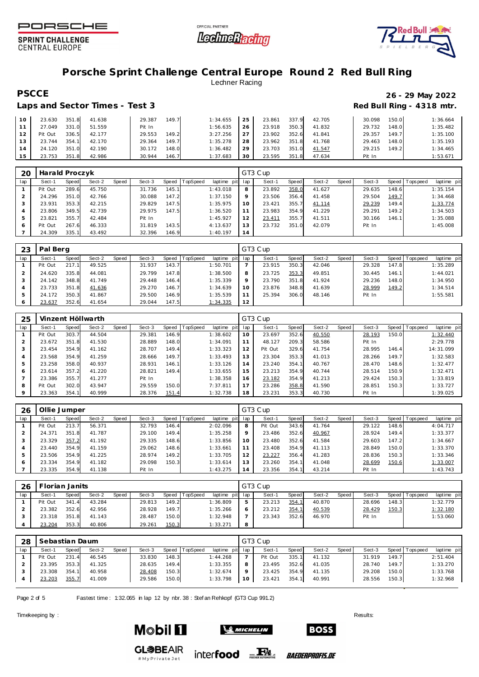





### **Porsche Sprint Challenge Central Europe Round 2 Red Bull Ring** Lechner Racing

### Laps and Sector Times - Test 3 **Red Bull Ring - 4318 mtr. Red Bull Ring - 4318 mtr.**

# **PSCCE 26 - 29 May 2022**

| 10 <sup>1</sup> | 23.630  | 351.8 | 41.638 | 29.387 | 149.7 | 1:34.655 | 25 | 23.861 | 337.9 | 42.705 | 30.098 | 150.0 | 1:36.664 |
|-----------------|---------|-------|--------|--------|-------|----------|----|--------|-------|--------|--------|-------|----------|
| 11              | 27.049  | 331.0 | 51.559 | Pit In |       | 1:56.635 | 26 | 23.918 | 350.3 | 41.832 | 29.732 | 148.0 | 1:35.482 |
| 12              | Pit Out | 336.5 | 42.177 | 29.553 | 149.2 | 3:27.256 | 27 | 23.902 | 352.6 | 41.841 | 29.357 | 149.7 | 1:35.100 |
| 13              | 23.744  | 354.1 | 42.170 | 29.364 | 149.7 | 1:35.278 | 28 | 23.962 | 351.8 | 41.768 | 29.463 | 148.0 | 1:35.193 |
| 14              | 24.120  | 351.0 | 42.190 | 30.172 | 148.0 | 1:36.482 | 29 | 23.703 | 351.0 | 41.547 | 29.215 | 149.2 | 1:34.465 |
| 15              | 23.753  | 351.8 | 42.986 | 30.944 | 146.7 | 1:37.683 | 30 | 23.595 | 351.8 | 47.634 | Pit In |       | 1:53.671 |

| 20  | Harald Proczyk |       |        |       |        |       |          |             |     | GT3 Cup |       |        |       |        |       |                 |             |
|-----|----------------|-------|--------|-------|--------|-------|----------|-------------|-----|---------|-------|--------|-------|--------|-------|-----------------|-------------|
| lap | Sect-1         | Speed | Sect-2 | Speed | Sect-3 | Speed | TopSpeed | laptime pit | lap | Sect-1  | Speed | Sect-2 | Speed | Sect-3 |       | Speed Tops peed | laptime pit |
|     | Pit Out        | 289.6 | 45.750 |       | 31.736 | 145.1 |          | 1:43.018    | 8   | 23.892  | 358.0 | 41.627 |       | 29.635 | 148.6 |                 | 1:35.154    |
|     | 24.296         | 351.0 | 42.766 |       | 30.088 | 147.2 |          | 1:37.150    | 9   | 23.506  | 356.4 | 41.458 |       | 29.504 | 149.7 |                 | 1:34.468    |
|     | 23.931         | 353.3 | 42.215 |       | 29.829 | 147.5 |          | 1:35.975    | 10  | 23.421  | 355.7 | 41.114 |       | 29.239 | 149.4 |                 | 1:33.774    |
|     | 23.806         | 349.5 | 42.739 |       | 29.975 | 147.5 |          | 1:36.520    | 11  | 23.983  | 354.9 | 41.229 |       | 29.291 | 149.2 |                 | 1:34.503    |
| 5   | 23.821         | 355.7 | 42.484 |       | Pit In |       |          | 1:45.927    | 12  | 23.411  | 355.7 | 41.511 |       | 30.166 | 146.1 |                 | 1:35.088    |
| 6   | Pit Out        | 267.6 | 46.333 |       | 31.819 | 143.5 |          | 4:13.637    | 13  | 23.732  | 351.0 | 42.079 |       | Pit In |       |                 | 1:45.008    |
|     | 24.309         | 335.1 | 43.492 |       | 32.396 | 146.9 |          | 1:40.197    | 14  |         |       |        |       |        |       |                 |             |

| 23  | Pal Berg |       |        |       |        |       |          |                 |         | GT3 Cup |       |        |       |        |       |                 |             |
|-----|----------|-------|--------|-------|--------|-------|----------|-----------------|---------|---------|-------|--------|-------|--------|-------|-----------------|-------------|
| lap | Sect-1   | Speed | Sect-2 | Speed | Sect-3 | Speed | TopSpeed | laptime pit lap |         | Sect-1  | Speed | Sect-2 | Speed | Sect-3 |       | Speed Tops peed | laptime pit |
|     | Pit Out  | 217.1 | 49.525 |       | 31.937 | 143.7 |          | 1:50.701        |         | 23.915  | 350.3 | 42.046 |       | 29.328 | 147.8 |                 | 1:35.289    |
|     | 24.620   | 335.8 | 44.081 |       | 29.799 | 147.8 |          | 1:38.500        | 8       | 23.725  | 353.3 | 49.851 |       | 30.445 | 146.1 |                 | 1:44.021    |
|     | 24.142   | 348.8 | 41.749 |       | 29.448 | 146.4 |          | 1:35.339        | $\circ$ | 23.790  | 351.8 | 41.924 |       | 29.236 | 148.0 |                 | 1:34.950    |
|     | 23.733   | 351.8 | 41.636 |       | 29.270 | 146.7 |          | 1:34.639        | 10      | 23.876  | 348.8 | 41.639 |       | 28.999 | 149.2 |                 | 1:34.514    |
| 5   | 24.172   | 350.3 | 41.867 |       | 29.500 | 146.9 |          | 1:35.539        |         | 25.394  | 306.0 | 48.146 |       | Pit In |       |                 | 1:55.581    |
| O   | 23.637   | 352.6 | 41.654 |       | 29.044 | 147.5 |          | 1:34.335        | 12      |         |       |        |       |        |       |                 |             |

| 25  |         |       | Vinzent Höllwarth |       |        |       |          |             |     | GT3 Cup |       |        |       |        |       |            |             |
|-----|---------|-------|-------------------|-------|--------|-------|----------|-------------|-----|---------|-------|--------|-------|--------|-------|------------|-------------|
| lap | Sect-1  | Speed | Sect-2            | Speed | Sect-3 | Speed | TopSpeed | laptime pit | lap | Sect-1  | Speed | Sect-2 | Speed | Sect-3 | Speed | Tops pee d | laptime pit |
|     | Pit Out | 303.7 | 44.504            |       | 29.381 | 146.9 |          | 1:38.602    | 10  | 23.697  | 352.6 | 40.550 |       | 28.193 | 150.0 |            | 1:32.440    |
|     | 23.672  | 351.8 | 41.530            |       | 28.889 | 148.0 |          | 1:34.091    |     | 48.127  | 209.3 | 58.586 |       | Pit In |       |            | 2:29.778    |
|     | 23.454  | 354.9 | 41.162            |       | 28.707 | 149.4 |          | 1:33.323    | 12  | Pit Out | 329.6 | 41.754 |       | 28.995 | 146.4 |            | 14:31.099   |
|     | 23.568  | 354.9 | 41.259            |       | 28.666 | 149.7 |          | 1:33.493    | 13  | 23.304  | 353.3 | 41.013 |       | 28.266 | 149.7 |            | 1:32.583    |
| 5   | 23.258  | 358.0 | 40.937            |       | 28.931 | 146.1 |          | 1:33.126    | 14  | 23.240  | 354.1 | 40.767 |       | 28.470 | 148.6 |            | 1:32.477    |
| 6   | 23.614  | 357.2 | 41.220            |       | 28.821 | 149.4 |          | 1:33.655    | 15  | 23.213  | 354.9 | 40.744 |       | 28.514 | 150.9 |            | 1:32.471    |
|     | 23.386  | 355.7 | 41.277            |       | Pit In |       |          | 1:38.358    | 16  | 23.182  | 354.9 | 41.213 |       | 29.424 | 150.3 |            | 1:33.819    |
| 8   | Pit Out | 302.0 | 43.947            |       | 29.559 | 150.0 |          | 7:37.811    |     | 23.286  | 358.8 | 41.590 |       | 28.851 | 150.3 |            | 1:33.727    |
|     | 23.363  | 354.1 | 40.999            |       | 28.376 | 151.4 |          | 1:32.738    | 18  | 23.231  | 353.3 | 40.730 |       | Pit In |       |            | 1:39.025    |

| 26  | Ollie Jumper |       |        |       |        |       |                 |             |     | GT3 Cup |       |        |       |        |       |                |             |
|-----|--------------|-------|--------|-------|--------|-------|-----------------|-------------|-----|---------|-------|--------|-------|--------|-------|----------------|-------------|
| lap | Sect-1       | Speed | Sect-2 | Speed | Sect-3 | Speed | <b>TopSpeed</b> | laptime pit | lap | Sect-1  | Speed | Sect-2 | Speed | Sect-3 |       | Speed Topspeed | laptime pit |
|     | Pit Out      | 213.7 | 56.371 |       | 32.793 | 146.4 |                 | 2:02.096    | 8   | Pit Out | 343.6 | 41.764 |       | 29.122 | 148.6 |                | 4:04.717    |
|     | 24.371       | 351.8 | 41.787 |       | 29.100 | 149.4 |                 | 1:35.258    | O   | 23.486  | 352.6 | 40.967 |       | 28.924 | 149.4 |                | 1:33.377    |
|     | 23.329       | 357.2 | 41.192 |       | 29.335 | 148.6 |                 | 1:33.856    | 10  | 23.480  | 352.6 | 41.584 |       | 29.603 | 147.2 |                | 1:34.667    |
|     | 23.440       | 354.9 | 41.159 |       | 29.062 | 148.6 |                 | 1:33.661    |     | 23.408  | 354.9 | 41.113 |       | 28.849 | 150.0 |                | 1:33.370    |
|     | 23.506       | 354.9 | 41.225 |       | 28.974 | 149.2 |                 | 1:33.705    |     | 23.227  | 356.4 | 41.283 |       | 28.836 | 150.3 |                | 1:33.346    |
|     | 23.334       | 354.9 | 41.182 |       | 29.098 | 150.3 |                 | 1:33.614    | 13  | 23.260  | 354.1 | 41.048 |       | 28.699 | 150.6 |                | 1:33.007    |
|     | 23.335       | 354.9 | 41.138 |       | Pit In |       |                 | 1:43.275    | 14  | 23.356  | 354.1 | 43.214 |       | Pit In |       |                | 1:43.743    |

| 26  | Florian Janits |       |        |       |        |       |          |                 |            | GT3 Cup |       |        |       |        |       |                 |             |
|-----|----------------|-------|--------|-------|--------|-------|----------|-----------------|------------|---------|-------|--------|-------|--------|-------|-----------------|-------------|
| lap | Sect-1         | Speed | Sect-2 | Speed | Sect-3 | Speed | TopSpeed | laptime pit lap |            | Sect-1  | Speed | Sect-2 | Speed | Sect-3 |       | Speed Tops peed | laptime pit |
|     | Pit Out        | 341.4 | 43.284 |       | 29.813 | 149.2 |          | 1:36.809        | 5          | 23.213  | 354.1 | 40.870 |       | 28.696 | 148.3 |                 | 1:32.779    |
|     | 23.382         | 352.6 | 42.956 |       | 28.928 | 149.7 |          | 1:35.266        | $\epsilon$ | 23.212  | 354.1 | 40.539 |       | 28.429 | 150.3 |                 | 1:32.180    |
|     | 23.318         | 351.8 | 41.143 |       | 28.487 | 150.0 |          | 1:32.948        |            | 23.343  | 352.6 | 46.970 |       | Pit In |       |                 | 1:53.060    |
|     | 23.204         | 353.3 | 40.806 |       | 29.261 | 150.3 |          | 1:33.271        | 8          |         |       |        |       |        |       |                 |             |

| 28  | Sebastian Daum |       |        |       |        |       |                |                 |         | GT3 Cup |       |        |       |        |        |                 |             |
|-----|----------------|-------|--------|-------|--------|-------|----------------|-----------------|---------|---------|-------|--------|-------|--------|--------|-----------------|-------------|
| lap | Sect-1         | Speed | Sect-2 | Speed | Sect-3 |       | Speed TopSpeed | laptime pit lap |         | Sect-1  | Speed | Sect-2 | Speed | Sect-3 |        | Speed Tops peed | laptime pit |
|     | Pit Out        | 231.4 | 46.545 |       | 33.830 | 148.3 |                | 1:44.268        |         | Pit Out | 335.7 | 41.132 |       | 31.919 | 149.71 |                 | 2:51.404    |
|     | 23.395         | 353.3 | 41.325 |       | 28.635 | 149.4 |                | 1:33.355        | 8       | 23.495  | 352.6 | 41.035 |       | 28.740 | 149.71 |                 | 1:33.270    |
|     | 23.308         | 354.1 | 40.958 |       | 28.408 | 150.3 |                | 1:32.674        | $\circ$ | 23.425  | 354.9 | 41.135 |       | 29.208 | 150.0  |                 | 1:33.768    |
|     | 23.203         | 355.7 | 41.009 |       | 29.586 | 150.0 |                | 1:33.798        | 10      | 23.421  | 354.1 | 40.991 |       | 28.556 | 150.3  |                 | 1:32.968    |

inter**food** EX

Page 2 of 5 Fastest time : 1:32.065 in lap 12 by nbr. 38 : Stef an Rehkopf (GT3 Cup 991.2)

Timekeeping by : Results:  $\blacksquare$ 



**GL参BEAIR** 

#MyPrivateJet



**BOSS** 

*BAEDERPROFIS.DE*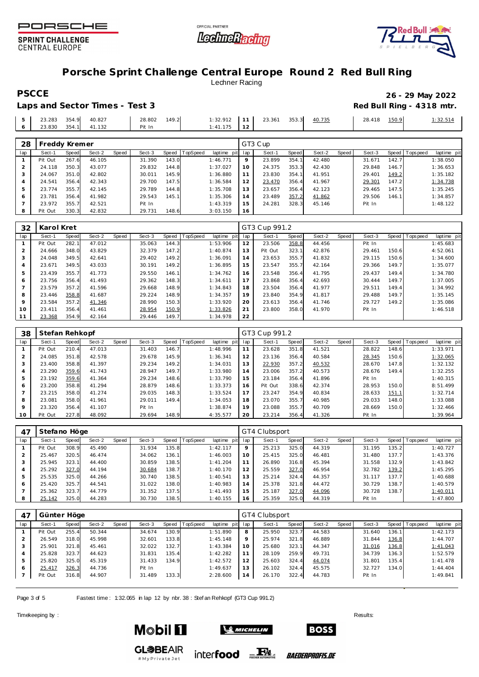





### **Porsche Sprint Challenge Central Europe Round 2 Red Bull Ring** Lechner Racing

Laps and Sector Times - Test 3 and Sector Times - Test 3 and 2018 mediate and 2018 mediate and 2018 mediate and 2

| PSCCE                          | 26 - 29 May 2022          |
|--------------------------------|---------------------------|
| Laps and Sector Times - Test 3 | Red Bull Ring - 4318 mtr. |

|  |  | $5$ 23.283 354.9 40.827                   |                                                                                                                |               |  |  | 28.418 150.9 | 1:32.514 |
|--|--|-------------------------------------------|----------------------------------------------------------------------------------------------------------------|---------------|--|--|--------------|----------|
|  |  | $6 \quad 23.830 \quad 354.1 \quad 41.132$ | Pit In Pit In Pit In Pit In Pit In Pit In Pit In Pit In Pit In Pit In Pit In Pit In Pit In Pit In Pit In Pit I | $1:41.175$ 12 |  |  |              |          |

| 28  |         | Freddy Kremer |        |       |        |       |          |             |         | GT3 Cup |       |        |       |        |       |                 |             |
|-----|---------|---------------|--------|-------|--------|-------|----------|-------------|---------|---------|-------|--------|-------|--------|-------|-----------------|-------------|
| lap | Sect-1  | Speed         | Sect-2 | Speed | Sect-3 | Speed | TopSpeed | laptime pit | lap     | Sect-1  | Speed | Sect-2 | Speed | Sect-3 |       | Speed Tops peed | laptime pit |
|     | Pit Out | 267.6         | 46.105 |       | 31.390 | 143.0 |          | 1:46.771    | $\circ$ | 23.899  | 354.1 | 42.480 |       | 31.671 | 142.7 |                 | 1:38.050    |
|     | 24.118  | 350.3         | 43.077 |       | 29.832 | 144.8 |          | 1:37.027    | 10      | 24.375  | 353.3 | 42.430 |       | 29.848 | 146.7 |                 | 1:36.653    |
|     | 24.067  | 351.0         | 42.802 |       | 30.011 | 145.9 |          | 1:36.880    |         | 23.830  | 354.1 | 41.951 |       | 29.401 | 149.2 |                 | 1:35.182    |
| 4   | 24.541  | 356.4         | 42.343 |       | 29.700 | 147.5 |          | 1:36.584    | 12      | 23.470  | 356.4 | 41.967 |       | 29.301 | 147.2 |                 | 1:34.738    |
| 5   | 23.774  | 355.7         | 42.145 |       | 29.789 | 144.8 |          | 1:35.708    | 13      | 23.657  | 356.4 | 42.123 |       | 29.465 | 147.5 |                 | 1:35.245    |
| 6   | 23.781  | 356.4         | 41.982 |       | 29.543 | 145.1 |          | 1:35.306    | 14      | 23.489  | 357.2 | 41.862 |       | 29.506 | 146.1 |                 | 1:34.857    |
|     | 23.972  | 355.7         | 42.521 |       | Pit In |       |          | 1:43.319    | 15      | 24.281  | 328.3 | 45.146 |       | Pit In |       |                 | 1:48.122    |
| 8   | Pit Out | 330.3         | 42.832 |       | 29.731 | 148.6 |          | 3:03.150    | 16      |         |       |        |       |        |       |                 |             |

| 32  | Karol Kret |       |        |       |        |       |          |             |     | GT3 Cup 991.2 |       |        |       |        |       |           |             |
|-----|------------|-------|--------|-------|--------|-------|----------|-------------|-----|---------------|-------|--------|-------|--------|-------|-----------|-------------|
| lap | Sect-1     | Speed | Sect-2 | Speed | Sect-3 | Speed | TopSpeed | laptime pit | lap | Sect-1        | Speed | Sect-2 | Speed | Sect-3 | Speed | Tops peed | laptime pit |
|     | Pit Out    | 282.1 | 47.012 |       | 35.063 | 144.3 |          | 1:53.906    | 12  | 23.506        | 358.8 | 44.456 |       | Pit In |       |           | 1:45.683    |
|     | 24.666     | 348.0 | 43.829 |       | 32.379 | 147.2 |          | 1:40.874    | 13  | Pit Out       | 323.1 | 42.876 |       | 29.461 | 150.6 |           | 4:52.061    |
|     | 24.048     | 349.5 | 42.641 |       | 29.402 | 149.2 |          | 1:36.091    | 14  | 23.653        | 355.7 | 41.832 |       | 29.115 | 150.6 |           | 1:34.600    |
|     | 23.671     | 349.5 | 43.033 |       | 30.191 | 149.2 |          | 1:36.895    | 15  | 23.547        | 355.7 | 42.164 |       | 29.366 | 149.7 |           | 1:35.077    |
| 5   | 23.439     | 355.7 | 41.773 |       | 29.550 | 146.1 |          | 1:34.762    | 16  | 23.548        | 356.4 | 41.795 |       | 29.437 | 149.4 |           | 1:34.780    |
| 6   | 23.756     | 356.4 | 41.493 |       | 29.362 | 148.3 |          | 1:34.611    | 17  | 23.868        | 356.4 | 42.693 |       | 30.444 | 149.7 |           | 1:37.005    |
|     | 23.579     | 357.2 | 41.596 |       | 29.668 | 148.9 |          | 1:34.843    | 18  | 23.504        | 356.4 | 41.977 |       | 29.511 | 149.4 |           | 1:34.992    |
| 8   | 23.446     | 358.8 | 41.687 |       | 29.224 | 148.9 |          | 1:34.357    | 19  | 23.840        | 354.9 | 41.817 |       | 29.488 | 149.7 |           | 1:35.145    |
| 9   | 23.584     | 357.2 | 41.346 |       | 28.990 | 150.3 |          | 1:33.920    | 20  | 23.613        | 356.4 | 41.746 |       | 29.727 | 149.2 |           | 1:35.086    |
| 10  | 23.411     | 356.4 | 41.461 |       | 28.954 | 150.9 |          | 1:33.826    | 21  | 23.800        | 358.0 | 41.970 |       | Pit In |       |           | 1:46.518    |
| 11  | 23.368     | 354.9 | 42.164 |       | 29.446 | 149.7 |          | 1:34.978    | 22  |               |       |        |       |        |       |           |             |

| 38  | Stefan Rehkopf |       |        |       |        |       |                 |             |     | GT3 Cup 991.2 |       |        |       |        |       |                |             |
|-----|----------------|-------|--------|-------|--------|-------|-----------------|-------------|-----|---------------|-------|--------|-------|--------|-------|----------------|-------------|
| lap | Sect-1         | Speed | Sect-2 | Speed | Sect-3 | Speed | <b>TopSpeed</b> | laptime pit | lap | Sect-1        | Speed | Sect-2 | Speed | Sect-3 |       | Speed Topspeed | laptime pit |
|     | Pit Out        | 210.4 | 47.013 |       | 31.403 | 146.7 |                 | 1:48.996    |     | 23.628        | 351.8 | 41.521 |       | 28.822 | 148.6 |                | 1:33.971    |
| 2   | 24.085         | 351.8 | 42.578 |       | 29.678 | 145.9 |                 | 1:36.341    | 12  | 23.136        | 356.4 | 40.584 |       | 28.345 | 150.6 |                | 1:32.065    |
| 3   | 23.400         | 358.8 | 41.397 |       | 29.234 | 149.2 |                 | 1:34.031    | 13  | 22.930        | 357.2 | 40.532 |       | 28.670 | 147.8 |                | 1:32.132    |
| 4   | 23.290         | 359.6 | 41.743 |       | 28.947 | 149.7 |                 | 1:33.980    | 14  | 23.006        | 357.2 | 40.573 |       | 28.676 | 149.4 |                | 1:32.255    |
| 5   | 23.192         | 359.6 | 41.364 |       | 29.234 | 148.6 |                 | 1:33.790    | 15  | 23.184        | 356.4 | 41.896 |       | Pit In |       |                | 1:40.315    |
| 6   | 23.200         | 358.8 | 41.294 |       | 28.879 | 148.6 |                 | 1:33.373    | 16  | Pit Out       | 338.6 | 42.374 |       | 28.953 | 150.0 |                | 8:51.499    |
|     | 23.215         | 358.0 | 41.274 |       | 29.035 | 148.3 |                 | 1:33.524    | 17  | 23.247        | 354.9 | 40.834 |       | 28.633 | 151.1 |                | 1:32.714    |
| 8   | 23.081         | 358.0 | 41.961 |       | 29.011 | 149.4 |                 | 1:34.053    | 18  | 23.070        | 355.7 | 40.985 |       | 29.033 | 148.0 |                | 1:33.088    |
| 9   | 23.320         | 356.4 | 41.107 |       | Pit In |       |                 | 1:38.874    | 19  | 23.088        | 355.7 | 40.709 |       | 28.669 | 150.0 |                | 1:32.466    |
| 10  | Pit Out        | 227.8 | 48.092 |       | 29.694 | 148.9 |                 | 4:35.577    | 20  | 23.214        | 356.4 | 41.326 |       | Pit In |       |                | 1:39.964    |

| 47  | Stefano Höge |       |        |       |        |       |          |             |         | GT4 Clubsport |       |        |       |        |       |                 |             |
|-----|--------------|-------|--------|-------|--------|-------|----------|-------------|---------|---------------|-------|--------|-------|--------|-------|-----------------|-------------|
| lap | Sect-1       | Speed | Sect-2 | Speed | Sect-3 | Speed | TopSpeed | laptime pit | lap     | Sect-1        | Speed | Sect-2 | Speed | Sect-3 |       | Speed Tops peed | laptime pit |
|     | Pit Out      | 308.9 | 45.490 |       | 31.934 | 135.8 |          | 1:42.117    | $\circ$ | 25.213        | 325.0 | 44.319 |       | 31.195 | 135.2 |                 | 1:40.727    |
|     | 25.467       | 320.5 | 46.474 |       | 34.062 | 136.1 |          | 1:46.003    | 10      | 25.415        | 325.0 | 46.481 |       | 31.480 | 137.7 |                 | 1:43.376    |
|     | 25.945       | 323.1 | 44.400 |       | 30.859 | 138.5 |          | 1:41.204    |         | 26.890        | 316.8 | 45.394 |       | 31.558 | 132.9 |                 | 1:43.842    |
| 4   | 25.292       | 327.0 | 44.194 |       | 30.684 | 138.7 |          | 1:40.170    | 12      | 25.559        | 327.0 | 46.954 |       | 32.782 | 139.2 |                 | 1:45.295    |
| .5  | 25.535       | 325.0 | 44.266 |       | 30.740 | 138.5 |          | 1:40.541    | 13      | 25.214        | 324.4 | 44.357 |       | 31.117 | 137.7 |                 | 1:40.688    |
|     | 25.420       | 325.7 | 44.541 |       | 31.022 | 138.0 |          | 1:40.983    | 14      | 25.378        | 321.8 | 44.472 |       | 30.729 | 138.7 |                 | 1:40.579    |
|     | 25.362       | 323.7 | 44.779 |       | 31.352 | 137.5 |          | 1:41.493    | 15      | 25.187        | 327.0 | 44.096 |       | 30.728 | 138.7 |                 | 1:40.011    |
| 8   | 25.142       | 325.0 | 44.283 |       | 30.730 | 138.5 |          | 1:40.155    | i 6     | 25.359        | 325.0 | 44.319 |       | Pit In |       |                 | 1:47.800    |

| 47  | Günter Höge |       |        |       |        |       |          |                 |         | GT4 Clubsport |       |        |       |        |       |                   |             |
|-----|-------------|-------|--------|-------|--------|-------|----------|-----------------|---------|---------------|-------|--------|-------|--------|-------|-------------------|-------------|
| lap | Sect-1      | Speed | Sect-2 | Speed | Sect-3 | Speed | TopSpeed | laptime pit lap |         | Sect-1        | Speed | Sect-2 | Speed | Sect-3 |       | Speed   Tops peed | laptime pit |
|     | Pit Out     | 255.4 | 50.344 |       | 34.674 | 130.9 |          | 1:51.890        | 8       | 25.950        | 323.7 | 44.583 |       | 31.640 | 136.1 |                   | 1:42.173    |
|     | 26.549      | 318.0 | 45.998 |       | 32.601 | 133.8 |          | 1:45.148        | $\circ$ | 25.974        | 321.8 | 46.889 |       | 31.844 | 136.8 |                   | 1:44.707    |
| ు   | 25.901      | 321.8 | 45.461 |       | 32.022 | 132.7 |          | 1:43.384        | 10      | 25.680        | 323.1 | 44.347 |       | 31.016 | 136.8 |                   | 1:41.043    |
|     | 25.828      | 323.7 | 44.623 |       | 31.831 | 135.4 |          | 1:42.282        | 11      | 28.109        | 259.9 | 49.731 |       | 34.739 | 136.3 |                   | 1:52.579    |
| 5   | 25.820      | 325.0 | 45.319 |       | 31.433 | 134.9 |          | 1:42.572        | 12      | 25.603        | 324.4 | 44.074 |       | 31.801 | 135.4 |                   | 1:41.478    |
| O   | 25.417      | 326.3 | 44.736 |       | Pit In |       |          | 1:49.637        | 13      | 26.102        | 324.4 | 45.575 |       | 32.727 | 134.0 |                   | 1:44.404    |
|     | Pit Out     | 316.8 | 44.907 |       | 31.489 | 133.3 |          | 2:28.600        | 14      | 26.170        | 322.4 | 44.783 |       | Pit In |       |                   | 1:49.841    |
|     |             |       |        |       |        |       |          |                 |         |               |       |        |       |        |       |                   |             |

Page 3 of 5 Fastest time : 1:32.065 in lap 12 by nbr. 38 : Stef an Rehkopf (GT3 Cup 991.2)

# My Private Jet

Timekeeping by : Results:  $\blacksquare$ 





**BOSS** 

*BAEDERPROFIS.DE*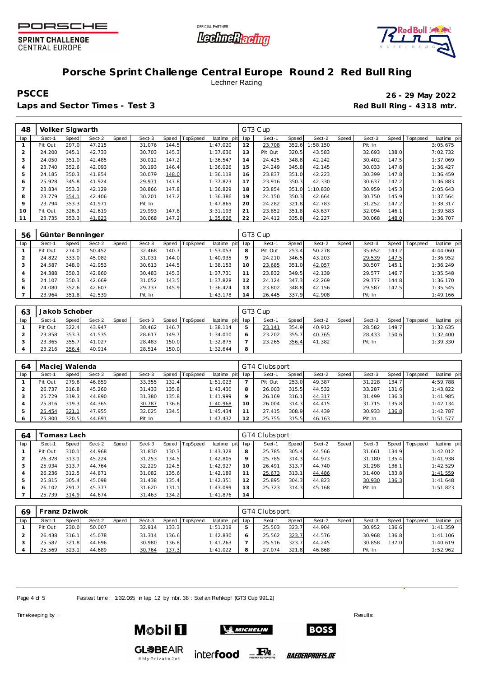



Red Bull 35

### **Porsche Sprint Challenge Central Europe Round 2 Red Bull Ring** Lechner Racing

Laps and Sector Times - Test 3 **Red Bull Ring - 4318 mtr. Red Bull Ring - 4318 mtr.** 

**PSCCE 26 - 29 May 2022**

| 48             | Volker Sigwarth |       |        |       |        |       |          |                |     | GT3 Cup |       |          |       |        |       |                 |             |
|----------------|-----------------|-------|--------|-------|--------|-------|----------|----------------|-----|---------|-------|----------|-------|--------|-------|-----------------|-------------|
| lap            | Sect-1          | Speed | Sect-2 | Speed | Sect-3 | Speed | TopSpeed | laptime<br>pit | lap | Sect-1  | Speed | Sect-2   | Speed | Sect-3 |       | Speed Tops peed | laptime pit |
|                | Pit Out         | 297.0 | 47.215 |       | 31.076 | 144.5 |          | 1:47.020       | 12  | 23.708  | 352.6 | :58.150  |       | Pit In |       |                 | 3:05.675    |
| 2              | 24.200          | 345.1 | 42.733 |       | 30.703 | 145.3 |          | 1:37.636       | 13  | Pit Out | 320.5 | 43.583   |       | 32.693 | 138.0 |                 | 7:02.732    |
| 3              | 24.050          | 351.0 | 42.485 |       | 30.012 | 147.2 |          | 1:36.547       | 14  | 24.425  | 348.8 | 42.242   |       | 30.402 | 147.5 |                 | 1:37.069    |
| 4              | 23.740          | 352.6 | 42.093 |       | 30.193 | 146.4 |          | 1:36.026       | 15  | 24.249  | 345.8 | 42.145   |       | 30.033 | 147.8 |                 | 1:36.427    |
| 5              | 24.185          | 350.3 | 41.854 |       | 30.079 | 148.0 |          | 1:36.118       | 16  | 23.837  | 351.0 | 42.223   |       | 30.399 | 147.8 |                 | 1:36.459    |
| 6              | 25.928          | 345.8 | 41.924 |       | 29.971 | 147.8 |          | 1:37.823       | 17  | 23.916  | 350.3 | 42.330   |       | 30.637 | 147.2 |                 | 1:36.883    |
| $\overline{7}$ | 23.834          | 353.3 | 42.129 |       | 30.866 | 147.8 |          | 1:36.829       | 18  | 23.854  | 351.0 | 1:10.830 |       | 30.959 | 145.3 |                 | 2:05.643    |
| 8              | 23.779          | 354.1 | 42.406 |       | 30.201 | 147.2 |          | 1:36.386       | 19  | 24.150  | 350.3 | 42.664   |       | 30.750 | 145.9 |                 | 1:37.564    |
| 9              | 23.794          | 353.3 | 41.971 |       | Pit In |       |          | 1:47.865       | 20  | 24.282  | 321.8 | 42.783   |       | 31.252 | 147.2 |                 | 1:38.317    |
| 10             | Pit Out         | 326.3 | 42.619 |       | 29.993 | 147.8 |          | 3:31.193       | 21  | 23.852  | 351.8 | 43.637   |       | 32.094 | 146.1 |                 | 1:39.583    |
| 11             | 23.735          | 353.3 | 41.823 |       | 30.068 | 147.2 |          | 1:35.626       | 22  | 24.412  | 335.8 | 42.227   |       | 30.068 | 148.0 |                 | 1:36.707    |

| 56  | Günter Benninger |       |        |       |        |       |          |                 |         | GT3 Cup |       |        |       |        |       |                |             |
|-----|------------------|-------|--------|-------|--------|-------|----------|-----------------|---------|---------|-------|--------|-------|--------|-------|----------------|-------------|
| lap | Sect-1           | Speed | Sect-2 | Speed | Sect-3 | Speed | TopSpeed | laptime pit lap |         | Sect-1  | Speed | Sect-2 | Speed | Sect-3 |       | Speed Topspeed | laptime pit |
|     | Pit Out          | 274.0 | 50.452 |       | 32.468 | 140.7 |          | 1:53.053        | 8       | Pit Out | 253.4 | 50.278 |       | 35.652 | 143.2 |                | 4:44.060    |
|     | 24.822           | 333.0 | 45.082 |       | 31.031 | 144.0 |          | 1:40.935        | $\circ$ | 24.210  | 346.5 | 43.203 |       | 29.539 | 147.5 |                | 1:36.952    |
|     | 24.587           | 348.0 | 42.953 |       | 30.613 | 144.5 |          | 1:38.153        | 10      | 23.685  | 351.0 | 42.057 |       | 30.507 | 145.1 |                | 1:36.249    |
|     | 24.388           | 350.3 | 42.860 |       | 30.483 | 145.3 |          | 1:37.731        |         | 23.832  | 349.5 | 42.139 |       | 29.577 | 146.7 |                | 1:35.548    |
| 5   | 24.107           | 350.3 | 42.669 |       | 31.052 | 143.5 |          | 1:37.828        | 12      | 24.124  | 347.3 | 42.269 |       | 29.777 | 144.8 |                | 1:36.170    |
| O   | 24.080           | 352.6 | 42.607 |       | 29.737 | 145.9 |          | 1:36.424        | 13      | 23.802  | 348.8 | 42.156 |       | 29.587 | 147.5 |                | 1:35.545    |
|     | 23.964           | 351.8 | 42.539 |       | Pit In |       |          | 1:43.178        | 14      | 26.445  | 337.9 | 42.908 |       | Pit In |       |                | 1:49.166    |

| 63  | Jakob Schober |       |        |       |        |       |          |                 |   | GT3 Cup |       |        |       |        |       |                 |             |
|-----|---------------|-------|--------|-------|--------|-------|----------|-----------------|---|---------|-------|--------|-------|--------|-------|-----------------|-------------|
| lap | Sect-1        | Speed | Sect-2 | Speed | Sect-3 | Speed | TopSpeed | laptime pit lap |   | Sect-1  | Speed | Sect-2 | Speed | Sect-3 |       | Speed Tops peed | laptime pit |
|     | Pit Out       | 322.4 | 43.947 |       | 30.462 | 146.7 |          | 1:38.114        |   | 23.141  | 354.9 | 40.912 |       | 28.582 | 149.7 |                 | 1:32.635    |
|     | 23.858        | 353.3 | 41.535 |       | 28.617 | 149.7 |          | 1:34.010        |   | 23.202  | 355.7 | 40.765 |       | 28.433 | 150.6 |                 | 1:32.400    |
|     | 23.365        | 355.7 | 41.027 |       | 28.483 | 150.0 |          | 1:32.875        |   | 23.265  | 356.4 | 41.382 |       | Pit In |       |                 | 1:39.330    |
|     | 23.216        | 356.4 | 40.914 |       | 28.514 | 150.0 |          | 1:32.644        | 8 |         |       |        |       |        |       |                 |             |

| 64  | Maciej Walenda |       |        |       |        |       |          |                 |     | GT4 Clubsport |              |        |       |             |       |                 |             |
|-----|----------------|-------|--------|-------|--------|-------|----------|-----------------|-----|---------------|--------------|--------|-------|-------------|-------|-----------------|-------------|
| lap | Sect-1         | Speed | Sect-2 | Speed | Sect-3 | Speed | TopSpeed | laptime<br>pitl | lap | Sect-1        | <b>Speed</b> | Sect-2 | Speed | Sect-3      |       | Speed Tops peed | laptime pit |
|     | Pit Out        | 279.6 | 46.859 |       | 33.355 | 132.4 |          | 1:51.023        |     | Pit Out       | 253.0        | 49.387 |       | .228<br>31. | 134.7 |                 | 4:59.788    |
|     | 26.737         | 316.8 | 45.260 |       | 31.433 | 135.8 |          | 1:43.430        |     | 26.003        | 315.5        | 44.532 |       | 33.287      | 131.6 |                 | 1:43.822    |
|     | 25.729         | 319.3 | 44.890 |       | 31.380 | 135.8 |          | 1:41.999        |     | 26.169        | 316.1        | 44.317 |       | .499<br>31  | 136.3 |                 | 1:41.985    |
|     | 25.816         | 319.3 | 44.365 |       | 30.787 | 136.6 |          | 1:40.968        | 10  | 26.004        | 314.3        | 44.415 |       | 715<br>31   | 135.8 |                 | 1:42.134    |
|     | 25.454         | 321.1 | 47.955 |       | 32.025 | 134.5 |          | 1:45.434        |     | 27.415        | 308.9        | 44.439 |       | 30.933      | 136.8 |                 | 1:42.787    |
|     | 25.800         | 320.5 | 44.691 |       | Pit In |       |          | 1:47.432        | 12  | 25.755        | 315.5        | 46.163 |       | Pit In      |       |                 | 1:51.577    |

| 64  |         | ™omasz Lach  |        |       |        |       |          |             |     | GT4 Clubsport |       |        |       |        |        |                |             |
|-----|---------|--------------|--------|-------|--------|-------|----------|-------------|-----|---------------|-------|--------|-------|--------|--------|----------------|-------------|
| lap | Sect-1  | <b>Speed</b> | Sect-2 | Speed | Sect-3 | Speed | TopSpeed | laptime pit | lap | Sect-1        | Speed | Sect-2 | Speed | Sect-3 |        | Speed Topspeed | laptime pit |
|     | Pit Out | 310.1        | 44.968 |       | 31.830 | 130.3 |          | 1:43.328    | 8   | 25.785        | 305.4 | 44.566 |       | 31.661 | 134.9  |                | 1:42.012    |
|     | 26.328  | 313.1        | 45.224 |       | 31.253 | 134.5 |          | 1:42.805    | Q   | 25.785        | 314.3 | 44.973 |       | 31.180 | 135.4  |                | 1:41.938    |
|     | 25.934  | 313.7        | 44.764 |       | 32.229 | 124.5 |          | 1:42.927    | 10  | 26.491        | 313.7 | 44.740 |       | 31.298 | 136.11 |                | 1:42.529    |
|     | 26.236  | 312.5        | 44.871 |       | 31.082 | 135.6 |          | 1:42.189    |     | 25.673        | 313.1 | 44.486 |       | 31.400 | 133.8  |                | 1:41.559    |
|     | 25.815  | 305.4        | 45.098 |       | 31.438 | 135.4 |          | 1:42.351    | 12  | 25.895        | 304.3 | 44.823 |       | 30.930 | 136.3  |                | 1:41.648    |
| 6   | 26.102  | 291.7        | 45.377 |       | 31.620 | 131.1 |          | 1:43.099    | 13  | 25.723        | 314.3 | 45.168 |       | Pit In |        |                | 1:51.823    |
|     | 25.739  | 314.9        | 44.674 |       | 31.463 | 134.2 |          | 1:41.876    | 14  |               |       |        |       |        |        |                |             |

| 69  | Franz Dziwok |       |        |              |        |       |          |                 |   | GT4 Clubsport |              |        |       |        |        |                 |             |  |  |  |
|-----|--------------|-------|--------|--------------|--------|-------|----------|-----------------|---|---------------|--------------|--------|-------|--------|--------|-----------------|-------------|--|--|--|
| lap | Sect-1       | Speed | Sect-2 | <b>Speed</b> | Sect-3 | Speed | TopSpeed | laptime pit lap |   | Sect-1        | <b>Speed</b> | Sect-2 | Speed | Sect-3 |        | Speed Tops peed | laptime pit |  |  |  |
|     | Pit Out      | 230.0 | 50.007 |              | 32.914 | 133.3 |          | 1:51.218        | ь | 25.503        | 323.7        | 44.904 |       | 30.952 | 136.61 |                 | 1:41.359    |  |  |  |
|     | 26.438       | 316.1 | 45.078 |              | 31.314 | 136.6 |          | 1:42.830        | O | 25.562        | 323.7        | 44.576 |       | 30.968 | 136.8  |                 | 1:41.106    |  |  |  |
|     | 25.587       | 321.8 | 44.696 |              | 30.980 | 136.8 |          | 1:41.263        |   | 25.516        | 323.7        | 44.245 |       | 30.858 | 137.0  |                 | 1:40.619    |  |  |  |
|     | 25.569       | 323.1 | 44.689 |              | 30.764 | 137.3 |          | 1:41.022        | 8 | 27.074        | 321.8        | 46.868 |       | Pit In |        |                 | 1:52.962    |  |  |  |

Page 4 of 5 Fastest time : 1:32.065 in lap 12 by nbr. 38 : Stef an Rehkopf (GT3 Cup 991.2)

Timekeeping by : Results:  $\blacksquare$ 



**GL参BEAIR** 

#MyPrivateJet



inter**food** FALL

*BAEDERPROFIS.DE* 

**BOSS**